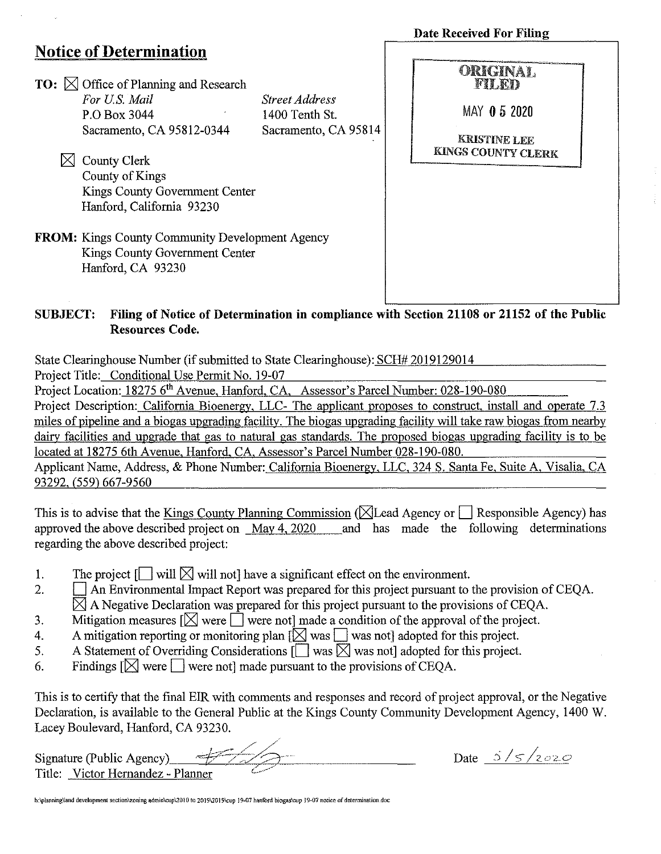|                                                                                                               |                                         | <b>Date Received For Filing</b>                  |
|---------------------------------------------------------------------------------------------------------------|-----------------------------------------|--------------------------------------------------|
| <b>Notice of Determination</b>                                                                                |                                         |                                                  |
| <b>TO:</b> $\boxtimes$ Office of Planning and Research                                                        |                                         | ORIGINAL.<br>FILED                               |
| For U.S. Mail<br>P.O. Box 3044                                                                                | <b>Street Address</b><br>1400 Tenth St. | MAY 05 2020                                      |
| Sacramento, CA 95812-0344                                                                                     | Sacramento, CA 95814                    | <b>KRISTINE LEE</b><br><b>KINGS COUNTY CLERK</b> |
| <b>County Clerk</b>                                                                                           |                                         |                                                  |
| County of Kings                                                                                               |                                         |                                                  |
| Kings County Government Center                                                                                |                                         |                                                  |
| Hanford, California 93230                                                                                     |                                         |                                                  |
| <b>FROM:</b> Kings County Community Development Agency<br>Kings County Government Center<br>Hanford, CA 93230 |                                         |                                                  |

## SUBJECT: Filing of Notice of Determination in compliance with Section 21108 or 21152 of the Public Resources Code.

State Clearinghouse Number (if submitted to State Clearinghouse): SCH# 2019129014

Project Title: Conditional Use Permit No. 19-07

Project Location: 18275 6'h Avenue, Hanford, CA, Assessor's Parcel Number: 028-190-080

Project Description: California Bioenergy, LLC- The applicant proposes to construct, install and operate 7.3 miles of pipeline and a biogas upgrading facility. The biogas upgrading facility will take raw biogas from nearby dairy facilities and upgrade that gas to natural gas standards. The proposed biogas upgrading facility is to be located at 18275 6th Avenue, Hanford, CA. Assessor's Parcel Number 028-190-080.

Applicant Name, Address, & Phone Number: California Bioenergy, LLC, 324 S. Santa Fe, Suite A, Visalia, CA 93292, (559) 667-9560

This is to advise that the Kings County Planning Commission ( $\boxtimes$  Lead Agency or  $\Box$  Responsible Agency) has approved the above described project on May 4, 2020 and has made the following determinations regarding the above described project:

- 1. The project  $\Box$  will  $\boxtimes$  will not have a significant effect on the environment.
- 2. **1.1 An Environmental Impact Report was prepared for this project pursuant to the provision of CEQA.**  $\boxtimes$  A Negative Declaration was prepared for this project pursuant to the provisions of CEQA.
- 3. Mitigation measures  $[\boxtimes]$  were  $\Box$  were not] made a condition of the approval of the project.
- 4. A mitigation reporting or monitoring plan  $[\bigtimes]$  was  $\Box$  was not] adopted for this project.<br>5. A Statement of Overriding Considerations  $[\bigcap$  was  $\boxtimes$  was not] adopted for this project.
- A Statement of Overriding Considerations  $\left[\bigcap_{n\in\mathbb{N}}\text{ was not}\right]$  adopted for this project.
- 6. Findings  $[\bigtimes]$  were  $\Box$  were not made pursuant to the provisions of CEQA.

This is to certify that the final EIR with comments and responses and record of project approval, or the Negative Declaration, is available to the General Public at the Kings County Conununity Development Agency, 1400 W. *//* \_/~-~ / / \_.-- Signature (Public Agency) \_\_ "77'-IL;\_··\_\_,.e\_/-". ~k-,-~~"-7'-··\_·· \_\_\_\_\_\_\_ \_ Lacey Boulevard, Hanford, CA 93230.

Title: Victor Hernandez - Planner *c\_,./* 

Date  $5/5/2020$ 

h:\planning\land development section \zoning admin\cup\2010 to 2019\2019\cup 19-07 hanford biogas\cup 19-07 notice of determination.doc